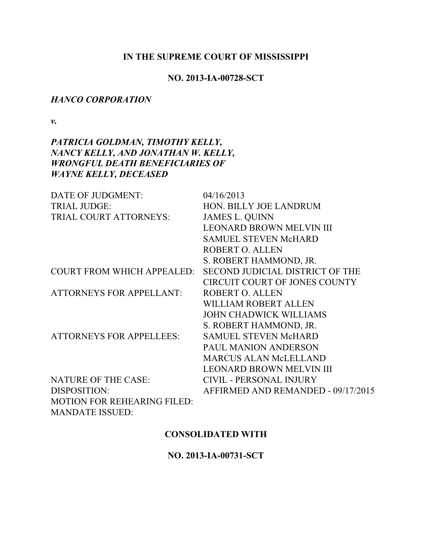### **IN THE SUPREME COURT OF MISSISSIPPI**

### **NO. 2013-IA-00728-SCT**

### *HANCO CORPORATION*

*v.*

# *PATRICIA GOLDMAN, TIMOTHY KELLY, NANCY KELLY, AND JONATHAN W. KELLY, WRONGFUL DEATH BENEFICIARIES OF WAYNE KELLY, DECEASED*

| DATE OF JUDGMENT:                  | 04/16/2013                           |
|------------------------------------|--------------------------------------|
| <b>TRIAL JUDGE:</b>                | HON. BILLY JOE LANDRUM               |
| TRIAL COURT ATTORNEYS:             | <b>JAMES L. QUINN</b>                |
|                                    | <b>LEONARD BROWN MELVIN III</b>      |
|                                    | <b>SAMUEL STEVEN McHARD</b>          |
|                                    | <b>ROBERT O. ALLEN</b>               |
|                                    | S. ROBERT HAMMOND, JR.               |
| <b>COURT FROM WHICH APPEALED:</b>  | SECOND JUDICIAL DISTRICT OF THE      |
|                                    | <b>CIRCUIT COURT OF JONES COUNTY</b> |
| <b>ATTORNEYS FOR APPELLANT:</b>    | ROBERT O. ALLEN                      |
|                                    | WILLIAM ROBERT ALLEN                 |
|                                    | <b>JOHN CHADWICK WILLIAMS</b>        |
|                                    | S. ROBERT HAMMOND, JR.               |
| <b>ATTORNEYS FOR APPELLEES:</b>    | <b>SAMUEL STEVEN McHARD</b>          |
|                                    | <b>PAUL MANION ANDERSON</b>          |
|                                    | <b>MARCUS ALAN McLELLAND</b>         |
|                                    | <b>LEONARD BROWN MELVIN III</b>      |
| <b>NATURE OF THE CASE:</b>         | <b>CIVIL - PERSONAL INJURY</b>       |
| DISPOSITION:                       | AFFIRMED AND REMANDED - 09/17/2015   |
| <b>MOTION FOR REHEARING FILED:</b> |                                      |
| <b>MANDATE ISSUED:</b>             |                                      |

## **CONSOLIDATED WITH**

**NO. 2013-IA-00731-SCT**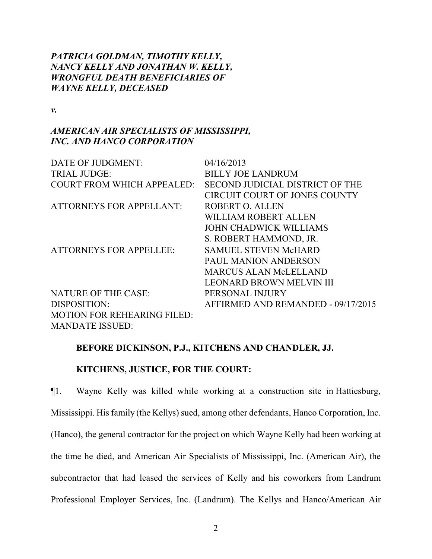# *PATRICIA GOLDMAN, TIMOTHY KELLY, NANCY KELLY AND JONATHAN W. KELLY, WRONGFUL DEATH BENEFICIARIES OF WAYNE KELLY, DECEASED*

*v.*

# *AMERICAN AIR SPECIALISTS OF MISSISSIPPI, INC. AND HANCO CORPORATION*

| DATE OF JUDGMENT:                  | 04/16/2013                         |
|------------------------------------|------------------------------------|
| <b>TRIAL JUDGE:</b>                | <b>BILLY JOE LANDRUM</b>           |
| <b>COURT FROM WHICH APPEALED:</b>  | SECOND JUDICIAL DISTRICT OF THE    |
|                                    | CIRCUIT COURT OF JONES COUNTY      |
| <b>ATTORNEYS FOR APPELLANT:</b>    | <b>ROBERT O. ALLEN</b>             |
|                                    | <b>WILLIAM ROBERT ALLEN</b>        |
|                                    | <b>JOHN CHADWICK WILLIAMS</b>      |
|                                    | S. ROBERT HAMMOND, JR.             |
| <b>ATTORNEYS FOR APPELLEE:</b>     | <b>SAMUEL STEVEN McHARD</b>        |
|                                    | <b>PAUL MANION ANDERSON</b>        |
|                                    | <b>MARCUS ALAN McLELLAND</b>       |
|                                    | <b>LEONARD BROWN MELVIN III</b>    |
| <b>NATURE OF THE CASE:</b>         | PERSONAL INJURY                    |
| DISPOSITION:                       | AFFIRMED AND REMANDED - 09/17/2015 |
| <b>MOTION FOR REHEARING FILED:</b> |                                    |
| <b>MANDATE ISSUED:</b>             |                                    |

## **BEFORE DICKINSON, P.J., KITCHENS AND CHANDLER, JJ.**

## **KITCHENS, JUSTICE, FOR THE COURT:**

¶1. Wayne Kelly was killed while working at a construction site in Hattiesburg, Mississippi. His family (the Kellys) sued, among other defendants, Hanco Corporation, Inc. (Hanco), the general contractor for the project on which Wayne Kelly had been working at the time he died, and American Air Specialists of Mississippi, Inc. (American Air), the subcontractor that had leased the services of Kelly and his coworkers from Landrum Professional Employer Services, Inc. (Landrum). The Kellys and Hanco/American Air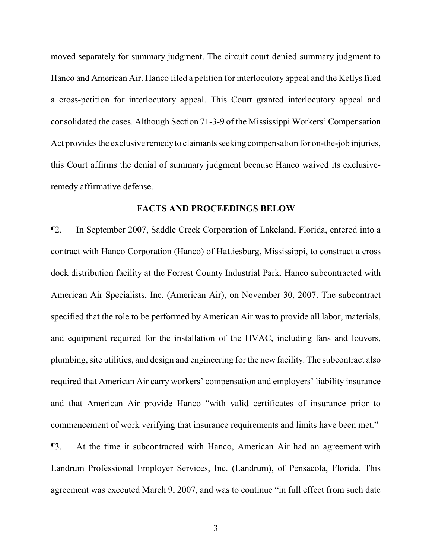moved separately for summary judgment. The circuit court denied summary judgment to Hanco and American Air. Hanco filed a petition for interlocutory appeal and the Kellys filed a cross-petition for interlocutory appeal. This Court granted interlocutory appeal and consolidated the cases. Although Section 71-3-9 of the Mississippi Workers' Compensation Act provides the exclusive remedy to claimants seeking compensation for on-the-job injuries, this Court affirms the denial of summary judgment because Hanco waived its exclusiveremedy affirmative defense.

#### **FACTS AND PROCEEDINGS BELOW**

¶2. In September 2007, Saddle Creek Corporation of Lakeland, Florida, entered into a contract with Hanco Corporation (Hanco) of Hattiesburg, Mississippi, to construct a cross dock distribution facility at the Forrest County Industrial Park. Hanco subcontracted with American Air Specialists, Inc. (American Air), on November 30, 2007. The subcontract specified that the role to be performed by American Air was to provide all labor, materials, and equipment required for the installation of the HVAC, including fans and louvers, plumbing, site utilities, and design and engineering for the new facility. The subcontract also required that American Air carry workers' compensation and employers' liability insurance and that American Air provide Hanco "with valid certificates of insurance prior to commencement of work verifying that insurance requirements and limits have been met."

¶3. At the time it subcontracted with Hanco, American Air had an agreement with Landrum Professional Employer Services, Inc. (Landrum), of Pensacola, Florida. This agreement was executed March 9, 2007, and was to continue "in full effect from such date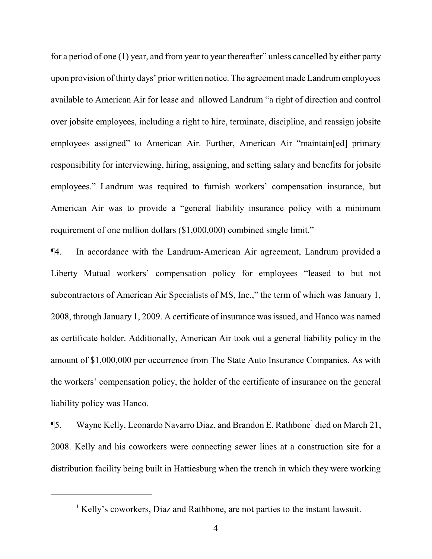for a period of one (1) year, and from year to year thereafter" unless cancelled by either party upon provision of thirty days' prior written notice. The agreement made Landrumemployees available to American Air for lease and allowed Landrum "a right of direction and control over jobsite employees, including a right to hire, terminate, discipline, and reassign jobsite employees assigned" to American Air. Further, American Air "maintain[ed] primary responsibility for interviewing, hiring, assigning, and setting salary and benefits for jobsite employees." Landrum was required to furnish workers' compensation insurance, but American Air was to provide a "general liability insurance policy with a minimum requirement of one million dollars (\$1,000,000) combined single limit."

¶4. In accordance with the Landrum-American Air agreement, Landrum provided a Liberty Mutual workers' compensation policy for employees "leased to but not subcontractors of American Air Specialists of MS, Inc.," the term of which was January 1, 2008, through January 1, 2009. A certificate of insurance was issued, and Hanco was named as certificate holder. Additionally, American Air took out a general liability policy in the amount of \$1,000,000 per occurrence from The State Auto Insurance Companies. As with the workers' compensation policy, the holder of the certificate of insurance on the general liability policy was Hanco.

¶5. Wayne Kelly, Leonardo Navarro Diaz, and Brandon E. Rathbone<sup>1</sup> died on March 21, 2008. Kelly and his coworkers were connecting sewer lines at a construction site for a distribution facility being built in Hattiesburg when the trench in which they were working

<sup>&</sup>lt;sup>1</sup> Kelly's coworkers, Diaz and Rathbone, are not parties to the instant lawsuit.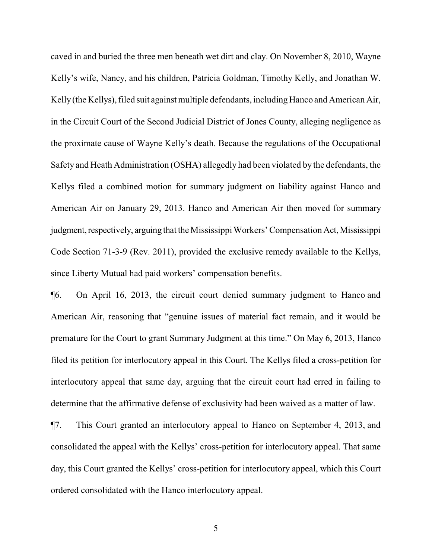caved in and buried the three men beneath wet dirt and clay. On November 8, 2010, Wayne Kelly's wife, Nancy, and his children, Patricia Goldman, Timothy Kelly, and Jonathan W. Kelly (the Kellys), filed suit against multiple defendants, including Hanco and American Air, in the Circuit Court of the Second Judicial District of Jones County, alleging negligence as the proximate cause of Wayne Kelly's death. Because the regulations of the Occupational Safety and Heath Administration (OSHA) allegedly had been violated by the defendants, the Kellys filed a combined motion for summary judgment on liability against Hanco and American Air on January 29, 2013. Hanco and American Air then moved for summary judgment, respectively, arguing that the Mississippi Workers' Compensation Act, Mississippi Code Section 71-3-9 (Rev. 2011), provided the exclusive remedy available to the Kellys, since Liberty Mutual had paid workers' compensation benefits.

¶6. On April 16, 2013, the circuit court denied summary judgment to Hanco and American Air, reasoning that "genuine issues of material fact remain, and it would be premature for the Court to grant Summary Judgment at this time." On May 6, 2013, Hanco filed its petition for interlocutory appeal in this Court. The Kellys filed a cross-petition for interlocutory appeal that same day, arguing that the circuit court had erred in failing to determine that the affirmative defense of exclusivity had been waived as a matter of law.

¶7. This Court granted an interlocutory appeal to Hanco on September 4, 2013, and consolidated the appeal with the Kellys' cross-petition for interlocutory appeal. That same day, this Court granted the Kellys' cross-petition for interlocutory appeal, which this Court ordered consolidated with the Hanco interlocutory appeal.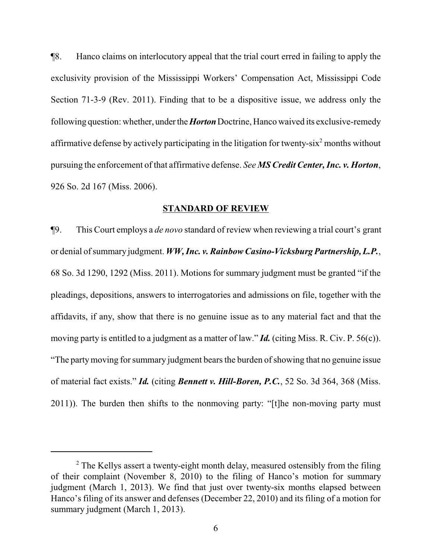¶8. Hanco claims on interlocutory appeal that the trial court erred in failing to apply the exclusivity provision of the Mississippi Workers' Compensation Act, Mississippi Code Section 71-3-9 (Rev. 2011). Finding that to be a dispositive issue, we address only the following question: whether, underthe*Horton*Doctrine, Hanco waived its exclusive-remedy affirmative defense by actively participating in the litigation for twenty-six<sup>2</sup> months without pursuing the enforcement of that affirmative defense. *See MS Credit Center, Inc. v. Horton*, 926 So. 2d 167 (Miss. 2006).

#### **STANDARD OF REVIEW**

¶9. This Court employs a *de novo* standard of review when reviewing a trial court's grant or denial of summary judgment. WW, Inc. v. Rainbow Casino-Vicksburg Partnership, L.P., 68 So. 3d 1290, 1292 (Miss. 2011). Motions for summary judgment must be granted "if the pleadings, depositions, answers to interrogatories and admissions on file, together with the affidavits, if any, show that there is no genuine issue as to any material fact and that the moving party is entitled to a judgment as a matter of law." *Id.* (citing Miss. R. Civ. P. 56(c)). "The partymoving for summary judgment bears the burden ofshowing that no genuine issue of material fact exists." *Id.* (citing *Bennett v. Hill-Boren, P.C.*, 52 So. 3d 364, 368 (Miss. 2011)). The burden then shifts to the nonmoving party: "[t]he non-moving party must

 $2$  The Kellys assert a twenty-eight month delay, measured ostensibly from the filing of their complaint (November 8, 2010) to the filing of Hanco's motion for summary judgment (March 1, 2013). We find that just over twenty-six months elapsed between Hanco's filing of its answer and defenses (December 22, 2010) and its filing of a motion for summary judgment (March 1, 2013).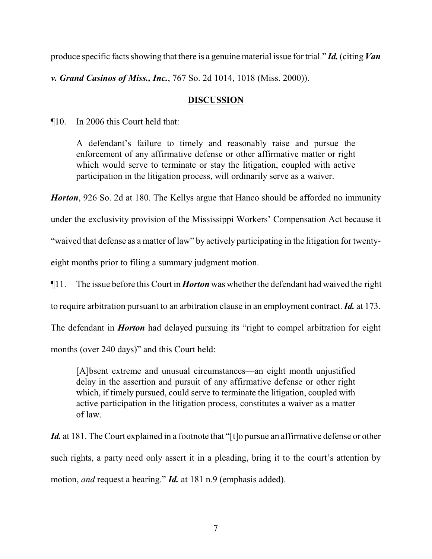produce specific facts showing that there is a genuine material issue for trial." *Id.* (citing *Van*

*v. Grand Casinos of Miss., Inc.*, 767 So. 2d 1014, 1018 (Miss. 2000)).

# **DISCUSSION**

¶10. In 2006 this Court held that:

A defendant's failure to timely and reasonably raise and pursue the enforcement of any affirmative defense or other affirmative matter or right which would serve to terminate or stay the litigation, coupled with active participation in the litigation process, will ordinarily serve as a waiver.

*Horton*, 926 So. 2d at 180. The Kellys argue that Hanco should be afforded no immunity

under the exclusivity provision of the Mississippi Workers' Compensation Act because it

"waived that defense as a matter of law" by actively participating in the litigation for twenty-

eight months prior to filing a summary judgment motion.

¶11. The issue before this Court in *Horton* was whether the defendant had waived the right

to require arbitration pursuant to an arbitration clause in an employment contract. *Id.* at 173.

The defendant in *Horton* had delayed pursuing its "right to compel arbitration for eight

months (over 240 days)" and this Court held:

[A]bsent extreme and unusual circumstances—an eight month unjustified delay in the assertion and pursuit of any affirmative defense or other right which, if timely pursued, could serve to terminate the litigation, coupled with active participation in the litigation process, constitutes a waiver as a matter of law.

Id. at 181. The Court explained in a footnote that "[t]o pursue an affirmative defense or other such rights, a party need only assert it in a pleading, bring it to the court's attention by motion, *and* request a hearing." *Id.* at 181 n.9 (emphasis added).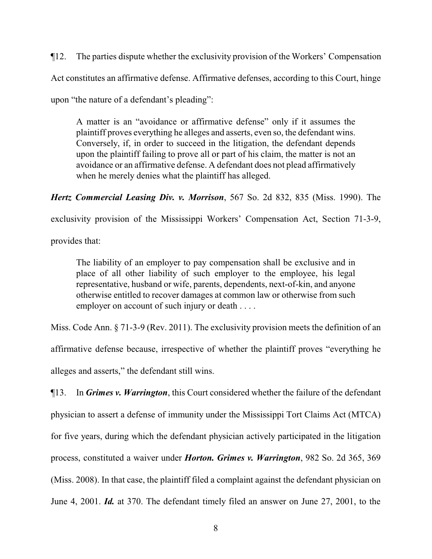¶12. The parties dispute whether the exclusivity provision of the Workers' Compensation Act constitutes an affirmative defense. Affirmative defenses, according to this Court, hinge upon "the nature of a defendant's pleading":

A matter is an "avoidance or affirmative defense" only if it assumes the plaintiff proves everything he alleges and asserts, even so, the defendant wins. Conversely, if, in order to succeed in the litigation, the defendant depends upon the plaintiff failing to prove all or part of his claim, the matter is not an avoidance or an affirmative defense. A defendant does not plead affirmatively when he merely denies what the plaintiff has alleged.

*Hertz Commercial Leasing Div. v. Morrison*, 567 So. 2d 832, 835 (Miss. 1990). The

exclusivity provision of the Mississippi Workers' Compensation Act, Section 71-3-9,

provides that:

The liability of an employer to pay compensation shall be exclusive and in place of all other liability of such employer to the employee, his legal representative, husband or wife, parents, dependents, next-of-kin, and anyone otherwise entitled to recover damages at common law or otherwise from such employer on account of such injury or death . . . .

Miss. Code Ann. § 71-3-9 (Rev. 2011). The exclusivity provision meets the definition of an affirmative defense because, irrespective of whether the plaintiff proves "everything he alleges and asserts," the defendant still wins.

¶13. In *Grimes v. Warrington*, this Court considered whether the failure of the defendant physician to assert a defense of immunity under the Mississippi Tort Claims Act (MTCA) for five years, during which the defendant physician actively participated in the litigation process, constituted a waiver under *Horton. Grimes v. Warrington*, 982 So. 2d 365, 369 (Miss. 2008). In that case, the plaintiff filed a complaint against the defendant physician on June 4, 2001. *Id.* at 370. The defendant timely filed an answer on June 27, 2001, to the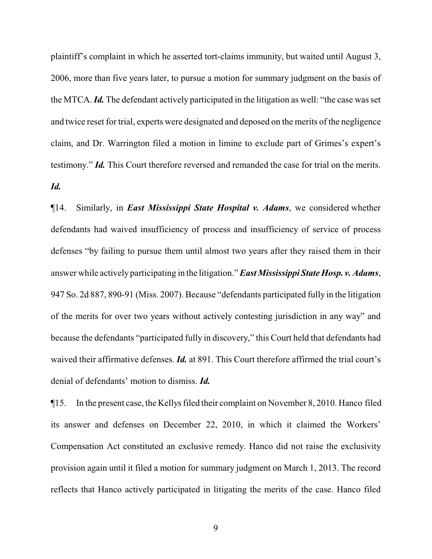plaintiff's complaint in which he asserted tort-claims immunity, but waited until August 3, 2006, more than five years later, to pursue a motion for summary judgment on the basis of the MTCA.*Id.* The defendant actively participated in the litigation as well: "the case was set and twice reset for trial, experts were designated and deposed on the merits of the negligence claim, and Dr. Warrington filed a motion in limine to exclude part of Grimes's expert's testimony." *Id.* This Court therefore reversed and remanded the case for trial on the merits. *Id.* 

¶14. Similarly, in *East Mississippi State Hospital v. Adams*, we considered whether defendants had waived insufficiency of process and insufficiency of service of process defenses "by failing to pursue them until almost two years after they raised them in their answer while actively participating in the litigation." *East Mississippi State Hosp. v. Adams*, 947 So. 2d 887, 890-91 (Miss. 2007). Because "defendants participated fully in the litigation of the merits for over two years without actively contesting jurisdiction in any way" and because the defendants "participated fully in discovery," this Court held that defendants had waived their affirmative defenses. *Id.* at 891. This Court therefore affirmed the trial court's denial of defendants' motion to dismiss. *Id.*

¶15. In the present case, the Kellys filed their complaint on November 8, 2010. Hanco filed its answer and defenses on December 22, 2010, in which it claimed the Workers' Compensation Act constituted an exclusive remedy. Hanco did not raise the exclusivity provision again until it filed a motion for summary judgment on March 1, 2013. The record reflects that Hanco actively participated in litigating the merits of the case. Hanco filed